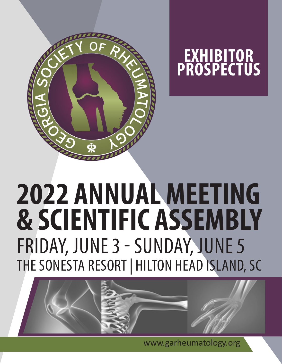



# FRIDAY, JUNE 3 - SUNDAY, JUNE 5 THE SONESTA RESORT | HILTON HEAD ISLAND, SC **2022 ANNUAL MEETING & SCIENTIFIC ASSEMBLY**



www.garheumatology.org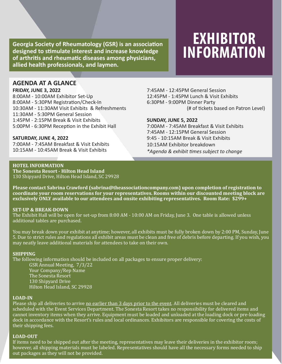Georgia Society of Rheumatology (GSR) is an association<br>designed to stimulate interest and increase knowledge **INFORMATION**<br>of arthritis and rheumatic diseases among physicians, **designed to stimulate interest and increase knowledge of arthritis and rheumatic diseases among physicians, allied health professionals, and laymen.**

# **EXHIBITOR**

### **AGENDA AT A GLANCE**

#### **FRIDAY, JUNE 3, 2022**

8:00AM - 10:00AM Exhibitor Set-Up 8:00AM - 5:30PM Registration/Check-In 10:30AM - 11:30AM Visit Exhibits & Refreshments 11:30AM - 5:30PM General Session 1:45PM - 2:15PM Break & Visit Exhibits 5:00PM - 6:30PM Reception in the Exhibit Hall

### **SATURDAY, JUNE 4, 2022**

7:00AM - 7:45AM Breakfast & Visit Exhibits 10:15AM - 10:45AM Break & Visit Exhibits

7:45AM - 12:45PM General Session 12:45PM - 1:45PM Lunch & Visit Exhibits 6:30PM - 9:00PM Dinner Party (# of tickets based on Patron Level)

### **SUNDAY, JUNE 5, 2022**

7:00AM - 7:45AM Breakfast & Visit Exhibits 7:45AM - 12:15PM General Session 9:45 - 10:15AM Break & Visit Exhibits 10:15AM Exhibitor breakdown *\*Agenda & exhibit times subject to change*

### **HOTEL INFORMATION**

**The Sonesta Resort - Hilton Head Island** 130 Shipyard Drive, Hilton Head Island, SC 29928

**Please contact Sabrina Crawford (sabrina@theassociationcompany.com) upon completion of registration to coordinate your room reservations for your representatives. Rooms within our discounted meeting block are exclusively ONLY available to our attendees and onsite exhibiting representatives. Room Rate: \$299+**

#### **SET-UP & BREAK-DOWN**

The Exhibit Hall will be open for set-up from 8:00 AM - 10:00 AM on Friday, June 3. One table is allowed unless additional tables are purchased.

You may break down your exhibit at anytime; however, all exhibits must be fully broken down by 2:00 PM, Sunday, June 5. Due to strict rules and regulations all exhibit areas must be clean and free of debris before departing. If you wish, you may neatly leave additional materials for attendees to take on their own.

### **SHIPPING**

The following information should be included on all packages to ensure proper delivery:

GSR Annual Meeting, 7/3/22 Your Company/Rep Name The Sonesta Resort 130 Shipyard Drive Hilton Head Island, SC 29928

### **LOAD-IN**

Please ship all deliveries to arrive no earlier than 3 days prior to the event. All deliveries must be cleared and scheduled with the Event Services Department. The Sonesta Resort takes no responsibility for delivered items and cannot inventory items when they arrive. Equipment must be loaded and unloaded at the loading dock or pre-loading dock in accordance with the Resort's rules and local ordinances. Exhibitors are responsible for covering the costs of their shipping fees.

### **LOAD-OUT**

If items need to be shipped out after the meeting, representatives may leave their deliveries in the exhibitor room; however, all shipping materials must be labeled. Representatives should have all the necessary forms needed to ship out packages as they will not be provided.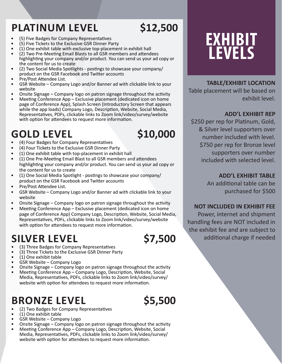# PLATINUM LEVEL \$12,500

- (5) Five Badges for Company Representatives
- (5) Five Tickets to the Exclusive GSR Dinner Party
- (1) One exhibit table with exclusive top-placement in exhibit hall
- (2) Two Pre-Meeting Email Blasts to all GSR members and attendees highlighting your company and/or product. You can send us your ad copy or the content for us to create
- (2) Two Social Media Spotlights postings to showcase your company/ product on the GSR Facebook and Twitter accounts
- Pre/Post Attendee List.
- GSR Website Company Logo and/or Banner ad with clickable link to your website
- Onsite Signage Company logo on patron signage throughout the activity
- Meeting Conference App Exclusive placement (dedicated icon on home page of Conference App), Splash Screen (Introductory Screen that appears while the app loads) Company Logo, Description, Website, Social Media, Representatives, PDFs, clickable links to Zoom link/video/survey/website with option for attendees to request more information.

# **GOLD LEVEL** \$10,000<br> **•** (4) Four Badges for Company Representatives

- 
- (4) Four Tickets to the Exclusive GSR Dinner Party
- (1) One exhibit table with top-placement in exhibit hall
- (1) One Pre-Meeting Email Blast to all GSR members and attendees highlighting your company and/or product. You can send us your ad copy or the content for us to create
- (1) One Social Media Spotlight postings to showcase your company/ product on the GSR Facebook and Twitter accounts
- Pre/Post Attendee List.
- GSR Website Company Logo and/or Banner ad with clickable link to your website
- Onsite Signage Company logo on patron signage throughout the activity
- Meeting Conference App Exclusive placement (dedicated icon on home page of Conference App) Company Logo, Description, Website, Social Media, Representatives, PDFs, clickable links to Zoom link/video/survey/website with option for attendees to request more information.

# **SILVER LEVEL** \$7,500<br> **•** (3) Three Badges for Company Representatives

- 
- (3) Three Tickets to the Exclusive GSR Dinner Party
- (1) One exhibit table
- GSR Website Company Logo
- Onsite Signage Company logo on patron signage throughout the activity
- Meeting Conference App Company Logo, Description, Website, Social Media, Representatives, PDFs, clickable links to Zoom link/video/survey/ website with option for attendees to request more information.

- 
- 
- 
- **BRONZE LEVEL S5,500**<br>
(2) Two Badges for Company Representatives<br>
GSR Website Company Logo<br>
Onsite Signage Company logo on patron signage throughout the activity
- Meeting Conference App Company Logo, Description, Website, Social Media, Representatives, PDFs, clickable links to Zoom link/video/survey/ website with option for attendees to request more information.

# **EXHIBIT LEVELS**

# **TABLE/EXHIBIT LOCATION**

Table placement will be based on exhibit level.

### **ADD'L EXHIBIT REP**

\$250 per rep for Platinum, Gold, & Silver level supporters over number included with level. \$750 per rep for Bronze level supporters over number included with selected level.

### **ADD'L EXHIBIT TABLE**

An additional table can be purchased for \$500

# **NOT INCLUDED IN EXHIBIT FEE**

Power, internet and shipment handling fees are NOT included in the exhibit fee and are subject to additional charge if needed



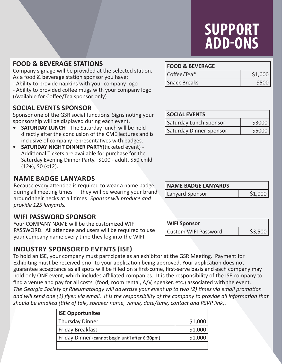# **SUPPORT ADD-ONS**

### **FOOD & BEVERAGE STATIONS**

Company signage will be provided at the selected station. As a food & beverage station sponsor you have:

- Ability to provide napkins with your company logo

- Ability to provided coffee mugs with your company logo (Available for Coffee/Tea sponsor only)

# **SOCIAL EVENTS SPONSOR**

Sponsor one of the GSR social functions. Signs noting your sponsorship will be displayed during each event.

- **• SATURDAY LUNCH** The Saturday lunch will be held directly after the conclusion of the CME lectures and is inclusive of company representatives with badges.
- **• SATURDAY NIGHT DINNER PARTY**(ticketed event) Additional Tickets are available for purchase for the Saturday Evening Dinner Party. \$100 - adult, \$50 child  $(12+)$ , \$0  $(12)$ .

# **NAME BADGE LANYARDS**

Because every attendee is required to wear a name badge during all meeting times — they will be wearing your brand around their necks at all times! *Sponsor will produce and provide 125 lanyards.*

# **WIFI PASSWORD SPONSOR**

Your COMPANY NAME will be the customized WIFI PASSWORD. All attendee and users will be required to use your company name every time they log into the WIFI.

# **INDUSTRY SPONSORED EVENTS (ISE)**

To hold an ISE, your company must participate as an exhibitor at the GSR Meeting. Payment for Exhibiting must be received prior to your application being approved. Your application does not guarantee acceptance as all spots will be filled on a first-come, first-serve basis and each company may hold only ONE event, which includes affiliated companies. It is the responsibility of the ISE company to find a venue and pay for all costs (food, room rental, A/V, speaker, etc.) associated with the event. *The Georgia Society of Rheumatology will advertise your event up to two (2) times via email promotion and will send one (1) flyer, via email. It is the responsibility of the company to provide all information that should be emailed (title of talk, speaker name, venue, date/time, contact and RSVP link).*

| <b>ISE Opportunites</b>                         |         |
|-------------------------------------------------|---------|
| <b>Thursday Dinner</b>                          | \$1,000 |
| <b>Friday Breakfast</b>                         | \$1,000 |
| Friday Dinner (cannot begin until after 6:30pm) | \$1,000 |
|                                                 |         |

### **FOOD & BEVERAGE**

| Coffee/Tea*  | \$1,000 |
|--------------|---------|
| Snack Breaks | \$500   |

| <b>SOCIAL EVENTS</b>           |        |
|--------------------------------|--------|
| Saturday Lunch Sponsor         | \$3000 |
| <b>Saturday Dinner Sponsor</b> | \$5000 |

| <b>NAME BADGE LANYARDS</b> |        |
|----------------------------|--------|
| <b>Lanyard Sponsor</b>     | 51.000 |

| <b>WIFI Sponsor</b>         |  |
|-----------------------------|--|
| <b>Custom WIFI Password</b> |  |